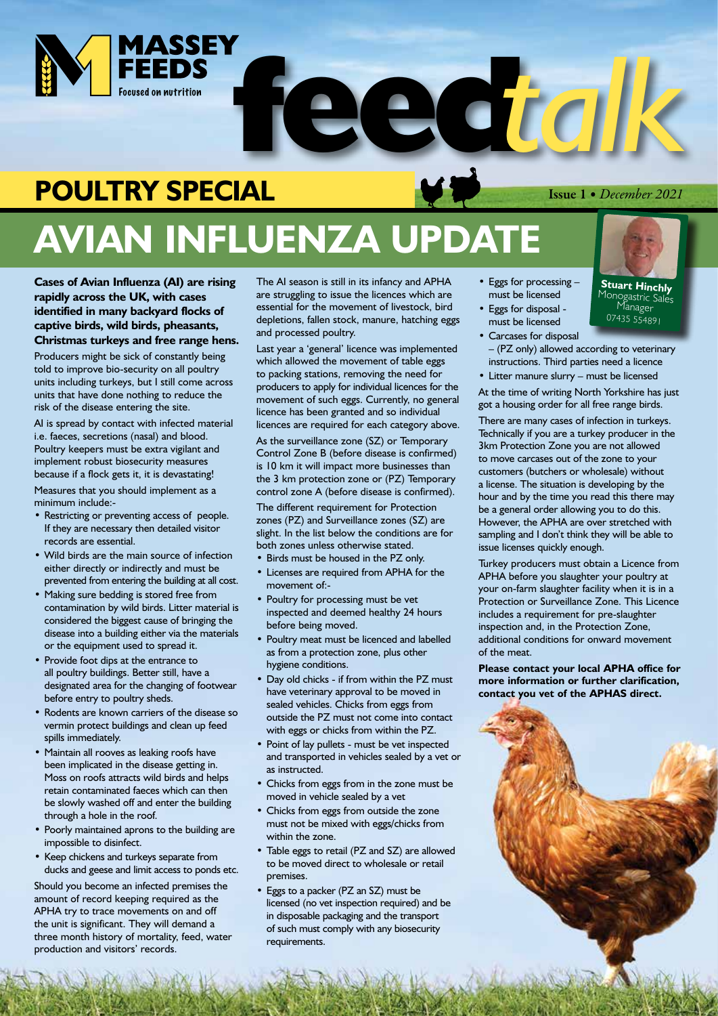

## **POULTRY SPECIAL**

# **AVIAN INFLUENZA UPDATE**

**Cases of Avian Influenza (AI) are rising rapidly across the UK, with cases identified in many backyard flocks of captive birds, wild birds, pheasants, Christmas turkeys and free range hens.** 

Producers might be sick of constantly being told to improve bio-security on all poultry units including turkeys, but I still come across units that have done nothing to reduce the risk of the disease entering the site.

AI is spread by contact with infected material i.e. faeces, secretions (nasal) and blood. Poultry keepers must be extra vigilant and implement robust biosecurity measures because if a flock gets it, it is devastating!

Measures that you should implement as a minimum include:-

- Restricting or preventing access of people. If they are necessary then detailed visitor records are essential.
- Wild birds are the main source of infection either directly or indirectly and must be prevented from entering the building at all cost.
- Making sure bedding is stored free from contamination by wild birds. Litter material is considered the biggest cause of bringing the disease into a building either via the materials or the equipment used to spread it.
- Provide foot dips at the entrance to all poultry buildings. Better still, have a designated area for the changing of footwear before entry to poultry sheds.
- Rodents are known carriers of the disease so vermin protect buildings and clean up feed spills immediately.
- Maintain all rooves as leaking roofs have been implicated in the disease getting in. Moss on roofs attracts wild birds and helps retain contaminated faeces which can then be slowly washed off and enter the building through a hole in the roof.
- Poorly maintained aprons to the building are impossible to disinfect.
- Keep chickens and turkeys separate from ducks and geese and limit access to ponds etc.

Should you become an infected premises the amount of record keeping required as the APHA try to trace movements on and off the unit is significant. They will demand a three month history of mortality, feed, water production and visitors' records.

The AI season is still in its infancy and APHA are struggling to issue the licences which are essential for the movement of livestock, bird depletions, fallen stock, manure, hatching eggs and processed poultry.

Last year a 'general' licence was implemented which allowed the movement of table eggs to packing stations, removing the need for producers to apply for individual licences for the movement of such eggs. Currently, no general licence has been granted and so individual licences are required for each category above.

As the surveillance zone (SZ) or Temporary Control Zone B (before disease is confirmed) is 10 km it will impact more businesses than the 3 km protection zone or (PZ) Temporary control zone A (before disease is confirmed).

The different requirement for Protection zones (PZ) and Surveillance zones (SZ) are slight. In the list below the conditions are for both zones unless otherwise stated.

- Birds must be housed in the PZ only.
- Licenses are required from APHA for the movement of:-
- Poultry for processing must be vet inspected and deemed healthy 24 hours before being moved.
- Poultry meat must be licenced and labelled as from a protection zone, plus other hygiene conditions.
- Day old chicks if from within the PZ must have veterinary approval to be moved in sealed vehicles. Chicks from eggs from outside the PZ must not come into contact with eggs or chicks from within the PZ.
- Point of lay pullets must be vet inspected and transported in vehicles sealed by a vet or as instructed.
- Chicks from eggs from in the zone must be moved in vehicle sealed by a vet
- Chicks from eggs from outside the zone must not be mixed with eggs/chicks from within the zone.
- Table eggs to retail (PZ and SZ) are allowed to be moved direct to wholesale or retail premises.
- Eggs to a packer (PZ an SZ) must be licensed (no vet inspection required) and be in disposable packaging and the transport of such must comply with any biosecurity requirements.
- Eggs for processing must be licensed
- Eggs for disposal must be licensed
- Carcases for disposal
- (PZ only) allowed according to veterinary instructions. Third parties need a licence
- Litter manure slurry must be licensed

At the time of writing North Yorkshire has just got a housing order for all free range birds.

There are many cases of infection in turkeys. Technically if you are a turkey producer in the 3km Protection Zone you are not allowed to move carcases out of the zone to your customers (butchers or wholesale) without a license. The situation is developing by the hour and by the time you read this there may be a general order allowing you to do this. However, the APHA are over stretched with sampling and I don't think they will be able to issue licenses quickly enough.

Turkey producers must obtain a Licence from APHA before you slaughter your poultry at your on-farm slaughter facility when it is in a Protection or Surveillance Zone. This Licence includes a requirement for pre-slaughter inspection and, in the Protection Zone, additional conditions for onward movement of the meat.

**Please contact your local APHA office for more information or further clarification, contact you vet of the APHAS direct.**



#### Issue 1 *• December 2021*

**Stuart Hinchly** Monogastric Sales<br>Manager 07435 554891